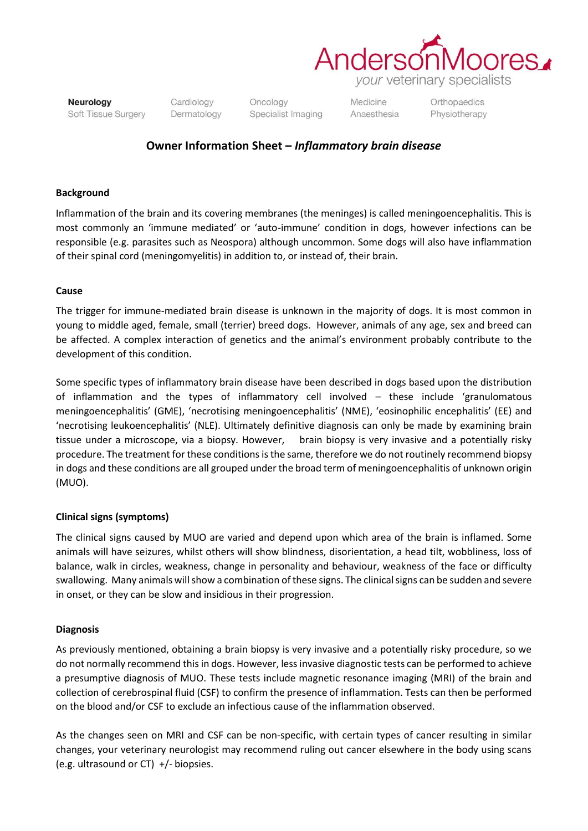

Neurology Soft Tissue Surgery Cardiology Dermatology Oncology Specialist Imaging

Medicine Anaesthesia Orthopaedics Physiotherapy

# **Owner Information Sheet –** *Inflammatory brain disease*

# **Background**

Inflammation of the brain and its covering membranes (the meninges) is called meningoencephalitis. This is most commonly an 'immune mediated' or 'auto-immune' condition in dogs, however infections can be responsible (e.g. parasites such as Neospora) although uncommon. Some dogs will also have inflammation of their spinal cord (meningomyelitis) in addition to, or instead of, their brain.

### **Cause**

The trigger for immune-mediated brain disease is unknown in the majority of dogs. It is most common in young to middle aged, female, small (terrier) breed dogs. However, animals of any age, sex and breed can be affected. A complex interaction of genetics and the animal's environment probably contribute to the development of this condition.

Some specific types of inflammatory brain disease have been described in dogs based upon the distribution of inflammation and the types of inflammatory cell involved – these include 'granulomatous meningoencephalitis' (GME), 'necrotising meningoencephalitis' (NME), 'eosinophilic encephalitis' (EE) and 'necrotising leukoencephalitis' (NLE). Ultimately definitive diagnosis can only be made by examining brain tissue under a microscope, via a biopsy. However, brain biopsy is very invasive and a potentially risky procedure. The treatment for these conditions is the same, therefore we do not routinely recommend biopsy in dogs and these conditions are all grouped under the broad term of meningoencephalitis of unknown origin (MUO).

# **Clinical signs (symptoms)**

The clinical signs caused by MUO are varied and depend upon which area of the brain is inflamed. Some animals will have seizures, whilst others will show blindness, disorientation, a head tilt, wobbliness, loss of balance, walk in circles, weakness, change in personality and behaviour, weakness of the face or difficulty swallowing. Many animals will show a combination of these signs. The clinical signs can be sudden and severe in onset, or they can be slow and insidious in their progression.

#### **Diagnosis**

As previously mentioned, obtaining a brain biopsy is very invasive and a potentially risky procedure, so we do not normally recommend this in dogs. However, less invasive diagnostic tests can be performed to achieve a presumptive diagnosis of MUO. These tests include magnetic resonance imaging (MRI) of the brain and collection of cerebrospinal fluid (CSF) to confirm the presence of inflammation. Tests can then be performed on the blood and/or CSF to exclude an infectious cause of the inflammation observed.

As the changes seen on MRI and CSF can be non-specific, with certain types of cancer resulting in similar changes, your veterinary neurologist may recommend ruling out cancer elsewhere in the body using scans (e.g. ultrasound or CT) +/- biopsies.